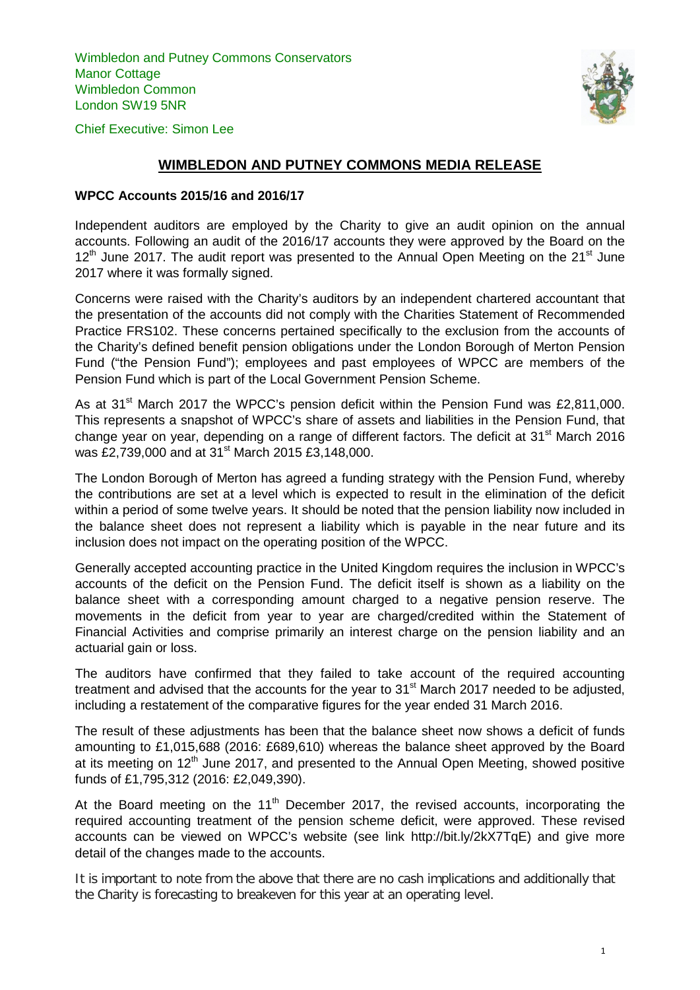Wimbledon and Putney Commons Conservators Manor Cottage Wimbledon Common London SW19 5NR



Chief Executive: Simon Lee

# **WIMBLEDON AND PUTNEY COMMONS MEDIA RELEASE**

#### **WPCC Accounts 2015/16 and 2016/17**

Independent auditors are employed by the Charity to give an audit opinion on the annual accounts. Following an audit of the 2016/17 accounts they were approved by the Board on the  $12<sup>th</sup>$  June 2017. The audit report was presented to the Annual Open Meeting on the 21 $<sup>st</sup>$  June</sup> 2017 where it was formally signed.

Concerns were raised with the Charity's auditors by an independent chartered accountant that the presentation of the accounts did not comply with the Charities Statement of Recommended Practice FRS102. These concerns pertained specifically to the exclusion from the accounts of the Charity's defined benefit pension obligations under the London Borough of Merton Pension Fund ("the Pension Fund"); employees and past employees of WPCC are members of the Pension Fund which is part of the Local Government Pension Scheme.

As at 31<sup>st</sup> March 2017 the WPCC's pension deficit within the Pension Fund was £2,811,000. This represents a snapshot of WPCC's share of assets and liabilities in the Pension Fund, that change year on year, depending on a range of different factors. The deficit at  $31<sup>st</sup>$  March 2016 was £2,739,000 and at 31<sup>st</sup> March 2015 £3,148,000.

The London Borough of Merton has agreed a funding strategy with the Pension Fund, whereby the contributions are set at a level which is expected to result in the elimination of the deficit within a period of some twelve years. It should be noted that the pension liability now included in the balance sheet does not represent a liability which is payable in the near future and its inclusion does not impact on the operating position of the WPCC.

Generally accepted accounting practice in the United Kingdom requires the inclusion in WPCC's accounts of the deficit on the Pension Fund. The deficit itself is shown as a liability on the balance sheet with a corresponding amount charged to a negative pension reserve. The movements in the deficit from year to year are charged/credited within the Statement of Financial Activities and comprise primarily an interest charge on the pension liability and an actuarial gain or loss.

The auditors have confirmed that they failed to take account of the required accounting treatment and advised that the accounts for the year to  $31<sup>st</sup>$  March 2017 needed to be adjusted, including a restatement of the comparative figures for the year ended 31 March 2016.

The result of these adjustments has been that the balance sheet now shows a deficit of funds amounting to £1,015,688 (2016: £689,610) whereas the balance sheet approved by the Board at its meeting on  $12<sup>th</sup>$  June 2017, and presented to the Annual Open Meeting, showed positive funds of £1,795,312 (2016: £2,049,390).

At the Board meeting on the 11<sup>th</sup> December 2017, the revised accounts, incorporating the required accounting treatment of the pension scheme deficit, were approved. These revised accounts can be viewed on WPCC's website (see link http://bit.ly/2kX7TqE) and give more detail of the changes made to the accounts.

It is important to note from the above that there are no cash implications and additionally that the Charity is forecasting to breakeven for this year at an operating level.